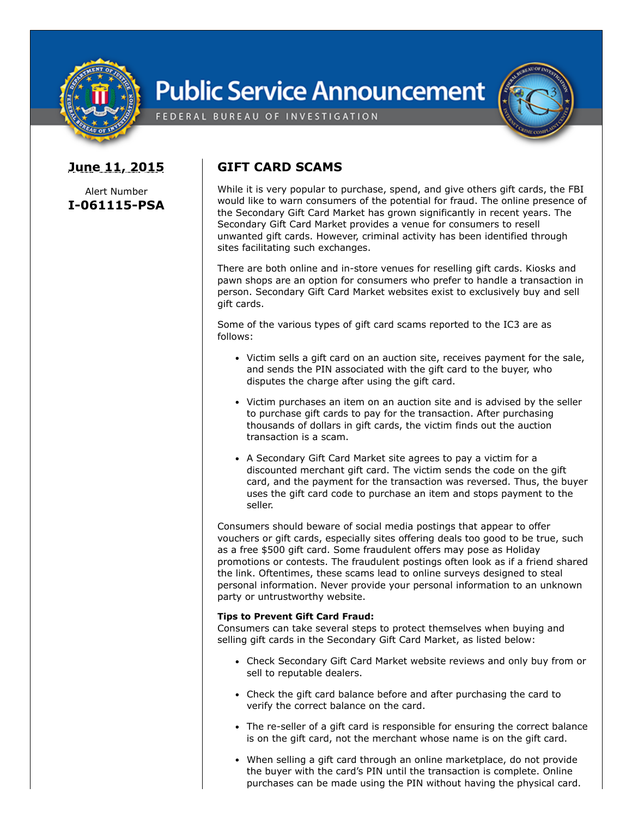

## **Public Service Announcement**

FEDERAL BUREAU OF INVESTIGATION

## **June 11, 2015**

Alert Number **I-061115-PSA**

## **GIFT CARD SCAMS**

While it is very popular to purchase, spend, and give others gift cards, the FBI would like to warn consumers of the potential for fraud. The online presence of the Secondary Gift Card Market has grown significantly in recent years. The Secondary Gift Card Market provides a venue for consumers to resell unwanted gift cards. However, criminal activity has been identified through sites facilitating such exchanges.

There are both online and in-store venues for reselling gift cards. Kiosks and pawn shops are an option for consumers who prefer to handle a transaction in person. Secondary Gift Card Market websites exist to exclusively buy and sell gift cards.

Some of the various types of gift card scams reported to the IC3 are as follows:

- Victim sells a gift card on an auction site, receives payment for the sale, and sends the PIN associated with the gift card to the buyer, who disputes the charge after using the gift card.
- Victim purchases an item on an auction site and is advised by the seller to purchase gift cards to pay for the transaction. After purchasing thousands of dollars in gift cards, the victim finds out the auction transaction is a scam.
- A Secondary Gift Card Market site agrees to pay a victim for a discounted merchant gift card. The victim sends the code on the gift card, and the payment for the transaction was reversed. Thus, the buyer uses the gift card code to purchase an item and stops payment to the seller.

Consumers should beware of social media postings that appear to offer vouchers or gift cards, especially sites offering deals too good to be true, such as a free \$500 gift card. Some fraudulent offers may pose as Holiday promotions or contests. The fraudulent postings often look as if a friend shared the link. Oftentimes, these scams lead to online surveys designed to steal personal information. Never provide your personal information to an unknown party or untrustworthy website.

## **Tips to Prevent Gift Card Fraud:**

Consumers can take several steps to protect themselves when buying and selling gift cards in the Secondary Gift Card Market, as listed below:

- Check Secondary Gift Card Market website reviews and only buy from or sell to reputable dealers.
- Check the gift card balance before and after purchasing the card to verify the correct balance on the card.
- The re-seller of a gift card is responsible for ensuring the correct balance is on the gift card, not the merchant whose name is on the gift card.
- When selling a gift card through an online marketplace, do not provide the buyer with the card's PIN until the transaction is complete. Online purchases can be made using the PIN without having the physical card.